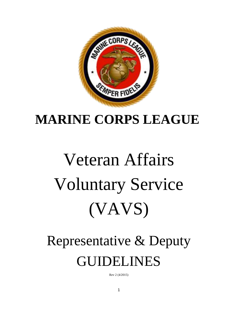

# **MARINE CORPS LEAGUE**

# Veteran Affairs Voluntary Service (VAVS)

# Representative & Deputy GUIDELINES

Rev 2 (4/2015)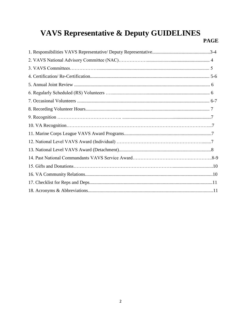## **VAVS Representative & Deputy GUIDELINES**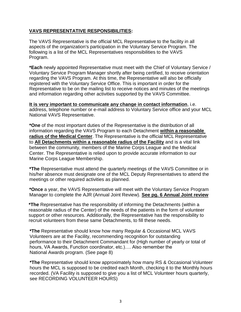#### **VAVS REPRESENTATIVE RESPONSIBILITIES:**

The VAVS Representative is the official MCL Representative to the facility in all aspects of the organization's participation in the Voluntary Service Program. The following is a list of the MCL Representatives responsibilities to the VAVS Program.

**\*Each** newly appointed Representative must meet with the Chief of Voluntary Service / Voluntary Service Program Manager shortly after being certified, to receive orientation regarding the VAVS Program. At this time, the Representative will also be officially registered with the Voluntary Service Office. This is important in order for the Representative to be on the mailing list to receive notices and minutes of the meetings and information regarding other activities supported by the VAVS Committee.

**It is very important to communicate any change in contact information**, i.e. address, telephone number or e-mail address to Voluntary Service office and your MCL National VAVS Representative.

**\*One** of the most important duties of the Representative is the distribution of all information regarding the VAVS Program to each Detachment **within a reasonable radius of the Medical Center**. The Representative is the official MCL Representative to **All Detachments within a reasonable radius of the Facility** and is a vital link between the community, members of the Marine Corps League and the Medical Center. The Representative is relied upon to provide accurate information to our Marine Corps League Membership.

**\*The** Representative must attend the quarterly meetings of the VAVS Committee or in his/her absence must designate one of the MCL Deputy Representatives to attend the meetings or other required activities as planned.

**\*Once** a year, the VAVS Representative will meet with the Voluntary Service Program Manager to complete the AJR (Annual Joint Review). **See pg. 6 Annual Joint review**

**\*The** Representative has the responsibility of informing the Detachments (within a reasonable radius of the Center) of the needs of the patients in the form of volunteer support or other resources. Additionally, the Representative has the responsibility to recruit volunteers from these same Detachments, to fill these needs.

**\*The** Representative should know how many Regular & Occasional MCL VAVS Volunteers are at the Facility, recommending recognition for outstanding performance to their Detachment Commandant for (High number of yearly or total of hours, VA Awards, Function coordinator, etc.)…. Also remember the National Awards program. (See page 8)

**\*The** Representative should know approximately how many RS & Occasional Volunteer hours the MCL is supposed to be credited each Month, checking it to the Monthly hours recorded. (VA Facility is supposed to give you a list of MCL Volunteer hours quarterly, see RECORDING VOLUNTEER HOURS)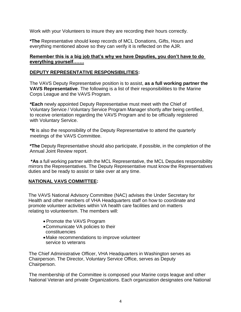Work with your Volunteers to insure they are recording their hours correctly.

**\*The** Representative should keep records of MCL Donations, Gifts, Hours and everything mentioned above so they can verify it is reflected on the AJR.

#### **Remember this is a big job that's why we have Deputies, you don't have to do everything yourself…….**

#### **DEPUTY REPRESENTATIVE RESPONSIBILITIES:**

The VAVS Deputy Representative position is to assist, **as a full working partner the VAVS Representative**. The following is a list of their responsibilities to the Marine Corps League and the VAVS Program.

**\*Each** newly appointed Deputy Representative must meet with the Chief of Voluntary Service / Voluntary Service Program Manager shortly after being certified, to receive orientation regarding the VAVS Program and to be officially registered with Voluntary Service.

**\*It** is also the responsibility of the Deputy Representative to attend the quarterly meetings of the VAVS Committee.

**\*The** Deputy Representative should also participate, if possible, in the completion of the Annual Joint Review report.

**\*As** a full working partner with the MCL Representative, the MCL Deputies responsibility mirrors the Representatives. The Deputy Representative must know the Representatives duties and be ready to assist or take over at any time.

#### **NATIONAL VAVS COMMITTEE:**

The VAVS National Advisory Committee (NAC) advises the Under Secretary for Health and other members of VHA Headquarters staff on how to coordinate and promote volunteer activities within VA health care facilities and on matters relating to volunteerism. The members will:

- Promote the VAVS Program
- Communicate VA policies to their constituencies
- Make recommendations to improve volunteer service to veterans

The Chief Administrative Officer, VHA Headquarters in Washington serves as Chairperson. The Director, Voluntary Service Office, serves as Deputy Chairperson.

The membership of the Committee is composed your Marine corps league and other National Veteran and private Organizations. Each organization designates one National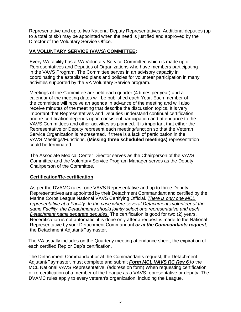Representative and up to two National Deputy Representatives. Additional deputies (up to a total of six) may be appointed when the need is justified and approved by the Director of the Voluntary Service Office.

#### **VA VOLUNTARY SERVICE (VAVS) COMMITTEE:**

Every VA facility has a VA Voluntary Service Committee which is made up of Representatives and Deputies of Organizations who have members participating in the VAVS Program. The Committee serves in an advisory capacity in coordinating the established plans and policies for volunteer participation in many activities supported by the VA Voluntary Service program.

Meetings of the Committee are held each quarter (4 times per year) and a calendar of the meeting dates will be published each Year. Each member of the committee will receive an agenda in advance of the meeting and will also receive minutes of the meeting that describe the discussion topics. It is very important that Representatives and Deputies understand continual certification and re-certification depends upon consistent participation and attendance to the VAVS Committees and other activities as planned. It is important that either the Representative or Deputy represent each meeting/function so that the Veteran Service Organization is represented. If there is a lack of participation in the VAVS Meetings/Functions, **(Missing three scheduled meetings)** representation could be terminated.

The Associate Medical Center Director serves as the Chairperson of the VAVS Committee and the Voluntary Service Program Manager serves as the Deputy Chairperson of the Committee.

#### **Certification/Re-certification**

As per the DVAMC rules, one VAVS Representative and up to three Deputy Representatives are appointed by their Detachment Commandant and certified by the Marine Corps League National VAVS Certifying Official. *There is only one MCL representative at a Facility. In the case where several Detachments volunteer at the same Facility, the Detachments should jointly select one representative and each Detachment name separate deputies.* The certification is good for two (2) years. Recertification is not automatic; it is done only after a request is made to the National Representative by your Detachment Commandant *or at the Commandants request*, the Detachment Adjutant/Paymaster.

The VA usually includes on the Quarterly meeting attendance sheet, the expiration of each certified Rep or Dep's certification.

The Detachment Commandant or at the Commandants request, the Detachment Adjutant/Paymaster, must complete and submit *Form MCL VAVS RC Rev 6* to the MCL National VAVS Representative. (address on form) When requesting certification or re-certification of a member of the League as a VAVS representative or deputy. The DVAMC rules apply to every veteran's organization, including the League.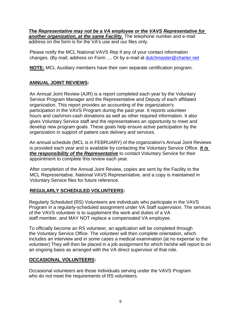*The Representative may not be a VA employee or the VAVS Representative for another organization, at the same Facility*. The telephone number and e-mail address on the form is for the VA's use and our files only.

Please notify the MCL National VAVS Rep if any of your contact information changes. (By mail; address on Form .... Or by e-mail [at dutchmaster@charter.net](mailto:at%20dutchmaster@charter.net)

**NOTE:** MCL Auxiliary members have their own separate certification program.

#### **ANNUAL JOINT REVIEWS:**

An Annual Joint Review (AJR) is a report completed each year by the Voluntary Service Program Manager and the Representative and Deputy of each affiliated organization. This report provides an accounting of the organization's participation in the VAVS Program during the past year. It reports volunteer hours and cash/non-cash donations as well as other required information. It also gives Voluntary Service staff and the representatives an opportunity to meet and develop new program goals. These goals help ensure active participation by the organization in support of patient care delivery and services.

An annual schedule (MCL is in FEBRUARY) of the organization's Annual Joint Reviews is provided each year and is available by contacting the Voluntary Service Office. *It is the responsibility of the Representative* to contact Voluntary Service for their appointment to complete this review each year.

After completion of the Annual Joint Review, copies are sent by the Facility to the MCL Representative, National VAVS Representative, and a copy is maintained in Voluntary Service files for future reference.

#### **REGULARLY SCHEDULED VOLUNTEERS:**

Regularly Scheduled (RS) Volunteers are individuals who participate in the VAVS Program in a regularly-scheduled assignment under VA Staff supervision. The services of the VAVS volunteer is to supplement the work and duties of a VA staff member, and MAY NOT replace a compensated VA employee.

To officially become an RS volunteer, an application will be completed through the Voluntary Service Office. The volunteer will then complete orientation, which includes an interview and in some cases a medical examination (at no expense to the volunteer) They will then be placed in a job assignment for which he/she will report to on an ongoing basis as arranged with the VA direct supervisor of that role.

#### **OCCASIONAL VOLUNTEERS:**

Occasional volunteers are those individuals serving under the VAVS Program who do not meet the requirements of RS volunteers.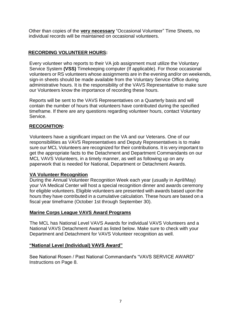Other than copies of the **very necessary** "Occasional Volunteer" Time Sheets, no individual records will be maintained on occasional volunteers.

#### **RECORDING VOLUNTEER HOURS:**

Every volunteer who reports to their VA job assignment must utilize the Voluntary Service System **(VSS)** Timekeeping computer (If applicable). For those occasional volunteers or RS volunteers whose assignments are in the evening and/or on weekends, sign-in sheets should be made available from the Voluntary Service Office during administrative hours. It is the responsibility of the VAVS Representative to make sure our Volunteers know the importance of recording these hours.

Reports will be sent to the VAVS Representatives on a Quarterly basis and will contain the number of hours that volunteers have contributed during the specified timeframe. If there are any questions regarding volunteer hours, contact Voluntary Service.

#### **RECOGNITION:**

Volunteers have a significant impact on the VA and our Veterans. One of our responsibilities as VAVS Representatives and Deputy Representatives is to make sure our MCL Volunteers are recognized for their contributions. It is very important to get the appropriate facts to the Detachment and Department Commandants on our MCL VAVS Volunteers, in a timely manner, as well as following up on any paperwork that is needed for National, Department or Detachment Awards.

#### **VA Volunteer Recognition**

During the Annual Volunteer Recognition Week each year (usually in April/May) your VA Medical Center will host a special recognition dinner and awards ceremony for eligible volunteers. Eligible volunteers are presented with awards based upon the hours they have contributed in a cumulative calculation. These hours are based on a fiscal year timeframe (October 1st through September 30).

#### **Marine Corps League VAVS Award Programs**

The MCL has National Level VAVS Awards for individual VAVS Volunteers and a National VAVS Detachment Award as listed below. Make sure to check with your Department and Detachment for VAVS Volunteer recognition as well.

#### **"National Level (Individual) VAVS Award"**

See National Rosen / Past National Commandant's "VAVS SERVICE AWARD" Instructions on Page 8.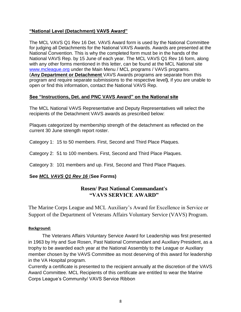#### **"National Level (Detachment) VAVS Award"**

The MCL VAVS Q1 Rev 16 Det. VAVS Award form is used by the National Committee for judging all Detachments for the National VAVS Awards. Awards are presented at the National Convention. This is why the completed form must be in the hands of the National VAVS Rep. by 15 June of each year. The MCL VAVS Q1 Rev 16 form, along with any other forms mentioned in this letter, can be found at the MCL National site [www.mcleague.org](http://www.mcleague.org/) under the Main Menu / MCL programs / VAVS programs. (**Any Department or Detachment** VAVS Awards programs are separate from this program and require separate submissions to the respective level**)**, if you are unable to open or find this information, contact the National VAVS Rep.

#### **See "Instructions, Det. and PNC VAVS Award" on the National site**

The MCL National VAVS Representative and Deputy Representatives will select the recipients of the Detachment VAVS awards as prescribed below:

Plaques categorized by membership strength of the detachment as reflected on the current 30 June strength report roster.

Category 1: 15 to 50 members. First, Second and Third Place Plaques.

Category 2: 51 to 100 members. First, Second and Third Place Plaques.

Category 3: 101 members and up. First, Second and Third Place Plaques.

#### **See** *MCL VAVS Q1 Rev 16* (**See Forms)**

#### **Rosen/ Past National Commandant's "VAVS SERVICE AWARD"**

The Marine Corps League and MCL Auxiliary's Award for Excellence in Service or Support of the Department of Veterans Affairs Voluntary Service (VAVS) Program.

#### **Background:**

The Veterans Affairs Voluntary Service Award for Leadership was first presented in 1963 by Hy and Sue Rosen, Past National Commandant and Auxiliary President, as a trophy to be awarded each year at the National Assembly to the League or Auxiliary member chosen by the VAVS Committee as most deserving of this award for leadership in the VA Hospital program.

Currently a certificate is presented to the recipient annually at the discretion of the VAVS Award Committee. MCL Recipients of this certificate are entitled to wear the Marine Corps League's Community/ VAVS Service Ribbon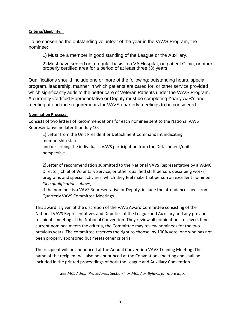#### **Criteria/Eligibility:**

To be chosen as the outstanding volunteer of the year in the VAVS Program, the nominee:

1) Must be a member in good standing of the League or the Auxiliary.

2) Must have served on a regular basis in a VA Hospital, outpatient Clinic, or other properly certified area for a period of at least three (3) years.

Qualifications should include one or more of the following: outstanding hours, special program, leadership, manner in which patients are cared for, or other service provided which significantly adds to the better care of Veteran Patients under the VAVS Program. A currently Certified Representative or Deputy must be completing Yearly AJR's and meeting attendance requirements for VAVS quarterly meetings to be considered.

#### **Nomination Process:**

perspective.

Consists of two letters of Recommendations for each nominee sent to the National VAVS Representative no later than July 10:

1) Letter from the Unit President or Detachment Commandant indicating membership status. and describing the individual's VAVS participation from the Detachment/units

2)Letter of recommendation submitted to the National VAVS Representative by a VAMC Director, Chief of Voluntary Service, or other qualified staff person, describing works, programs and special activities, which they feel make that person an excellent nominee. *(See qualifications above)* 

If the nominee is a VAVS Representative or Deputy, include the attendance sheet from Quarterly VAVS Committee Meetings.

This award is given at the discretion of the VAVS Award Committee consisting of the National VAVS Representatives and Deputies of the League and Auxiliary and any previous recipients meeting at the National Convention. They review all nominations received. If no current nominee meets the criteria, the Committee may review nominees for the two previous years. The committee reserves the right to choose, by 100% vote, one who has not been properly sponsored but meets other criteria.

The recipient will be announced at the Annual Convention VAVS Training Meeting. The name of the recipient will also be announced at the Conventions meeting and shall be included in the printed proceedings of both the League and Auxiliary Convention.

*See MCL Admin Procedures, Section* 4 *or MCL Aux Bylaws for more info.*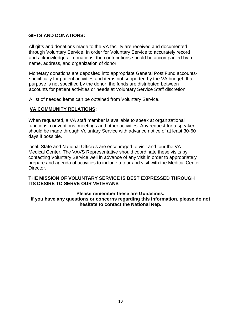#### **GIFTS AND DONATIONS:**

All gifts and donations made to the VA facility are received and documented through Voluntary Service. In order for Voluntary Service to accurately record and acknowledge all donations, the contributions should be accompanied by a name, address, and organization of donor.

Monetary donations are deposited into appropriate General Post Fund accountsspecifically for patient activities and items not supported by the VA budget. If a purpose is not specified by the donor, the funds are distributed between accounts for patient activities or needs at Voluntary Service Staff discretion.

A list of needed items can be obtained from Voluntary Service.

#### **VA COMMUNITY RELATIONS:**

When requested, a VA staff member is available to speak at organizational functions, conventions, meetings and other activities. Any request for a speaker should be made through Voluntary Service with advance notice of at least 30-60 days if possible.

local, State and National Officials are encouraged to visit and tour the VA Medical Center. The VAVS Representative should coordinate these visits by contacting Voluntary Service well in advance of any visit in order to appropriately prepare and agenda of activities to include a tour and visit with the Medical Center Director.

#### **THE MISSION OF VOLUNTARY SERVICE IS BEST EXPRESSED THROUGH ITS DESIRE TO SERVE OUR VETERANS**

#### **Please remember these are Guidelines.**

**If you have any questions or concerns regarding this information, please do not hesitate to contact the National Rep.**